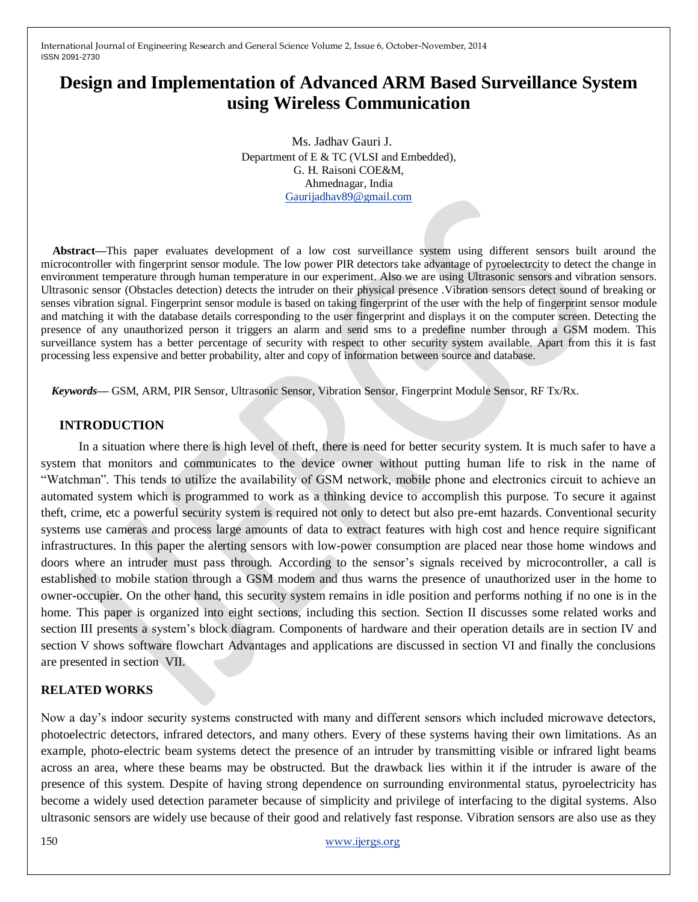# **Design and Implementation of Advanced ARM Based Surveillance System using Wireless Communication**

 Ms. Jadhav Gauri J. Department of E & TC (VLSI and Embedded), G. H. Raisoni COE&M, Ahmednagar, India [Gaurijadhav89@gmail.com](mailto:Gaurijadhav89@gmail.com)

**Abstract—**This paper evaluates development of a low cost surveillance system using different sensors built around the microcontroller with fingerprint sensor module. The low power PIR detectors take advantage of pyroelectrcity to detect the change in environment temperature through human temperature in our experiment. Also we are using Ultrasonic sensors and vibration sensors. Ultrasonic sensor (Obstacles detection) detects the intruder on their physical presence .Vibration sensors detect sound of breaking or senses vibration signal. Fingerprint sensor module is based on taking fingerprint of the user with the help of fingerprint sensor module and matching it with the database details corresponding to the user fingerprint and displays it on the computer screen. Detecting the presence of any unauthorized person it triggers an alarm and send sms to a predefine number through a GSM modem. This surveillance system has a better percentage of security with respect to other security system available. Apart from this it is fast processing less expensive and better probability, alter and copy of information between source and database.

*Keywords—* GSM, ARM, PIR Sensor, Ultrasonic Sensor, Vibration Sensor, Fingerprint Module Sensor, RF Tx/Rx.

#### **INTRODUCTION**

 In a situation where there is high level of theft, there is need for better security system. It is much safer to have a system that monitors and communicates to the device owner without putting human life to risk in the name of "Watchman". This tends to utilize the availability of GSM network, mobile phone and electronics circuit to achieve an automated system which is programmed to work as a thinking device to accomplish this purpose. To secure it against theft, crime, etc a powerful security system is required not only to detect but also pre-emt hazards. Conventional security systems use cameras and process large amounts of data to extract features with high cost and hence require significant infrastructures. In this paper the alerting sensors with low-power consumption are placed near those home windows and doors where an intruder must pass through. According to the sensor's signals received by microcontroller, a call is established to mobile station through a GSM modem and thus warns the presence of unauthorized user in the home to owner-occupier. On the other hand, this security system remains in idle position and performs nothing if no one is in the home. This paper is organized into eight sections, including this section. Section II discusses some related works and section III presents a system's block diagram. Components of hardware and their operation details are in section IV and section V shows software flowchart Advantages and applications are discussed in section VI and finally the conclusions are presented in section VII.

#### **RELATED WORKS**

Now a day's indoor security systems constructed with many and different sensors which included microwave detectors, photoelectric detectors, infrared detectors, and many others. Every of these systems having their own limitations. As an example, photo-electric beam systems detect the presence of an intruder by transmitting visible or infrared light beams across an area, where these beams may be obstructed. But the drawback lies within it if the intruder is aware of the presence of this system. Despite of having strong dependence on surrounding environmental status, pyroelectricity has become a widely used detection parameter because of simplicity and privilege of interfacing to the digital systems. Also ultrasonic sensors are widely use because of their good and relatively fast response. Vibration sensors are also use as they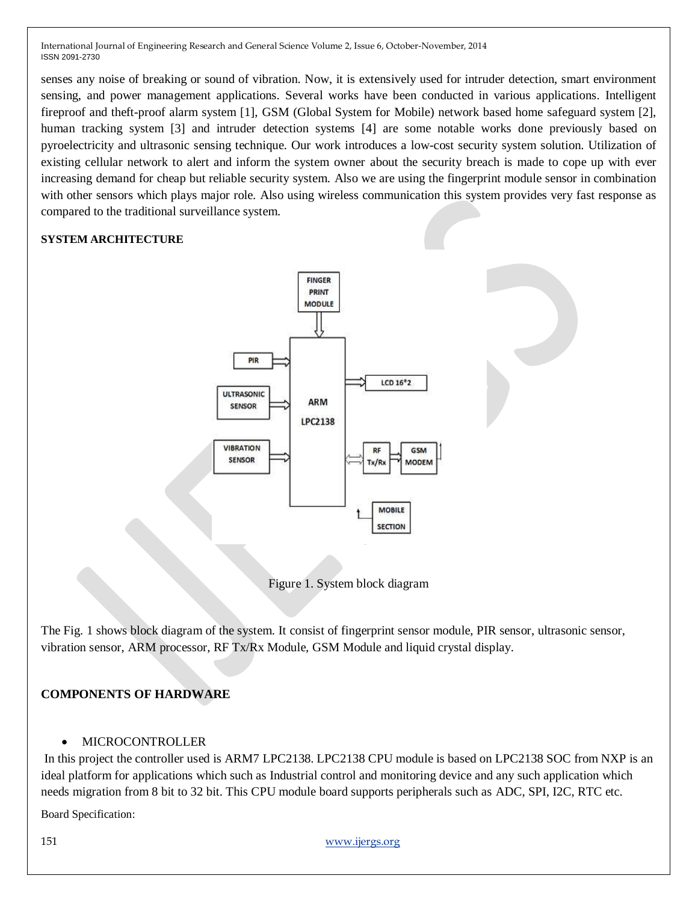senses any noise of breaking or sound of vibration. Now, it is extensively used for intruder detection, smart environment sensing, and power management applications. Several works have been conducted in various applications. Intelligent fireproof and theft-proof alarm system [1], GSM (Global System for Mobile) network based home safeguard system [2], human tracking system [3] and intruder detection systems [4] are some notable works done previously based on pyroelectricity and ultrasonic sensing technique. Our work introduces a low-cost security system solution. Utilization of existing cellular network to alert and inform the system owner about the security breach is made to cope up with ever increasing demand for cheap but reliable security system. Also we are using the fingerprint module sensor in combination with other sensors which plays major role. Also using wireless communication this system provides very fast response as compared to the traditional surveillance system.

## **SYSTEM ARCHITECTURE**





The Fig. 1 shows block diagram of the system. It consist of fingerprint sensor module, PIR sensor, ultrasonic sensor, vibration sensor, ARM processor, RF Tx/Rx Module, GSM Module and liquid crystal display.

## **COMPONENTS OF HARDWARE**

## MICROCONTROLLER

In this project the controller used is ARM7 LPC2138. LPC2138 CPU module is based on LPC2138 SOC from NXP is an ideal platform for applications which such as Industrial control and monitoring device and any such application which needs migration from 8 bit to 32 bit. This CPU module board supports peripherals such as ADC, SPI, I2C, RTC etc.

Board Specification: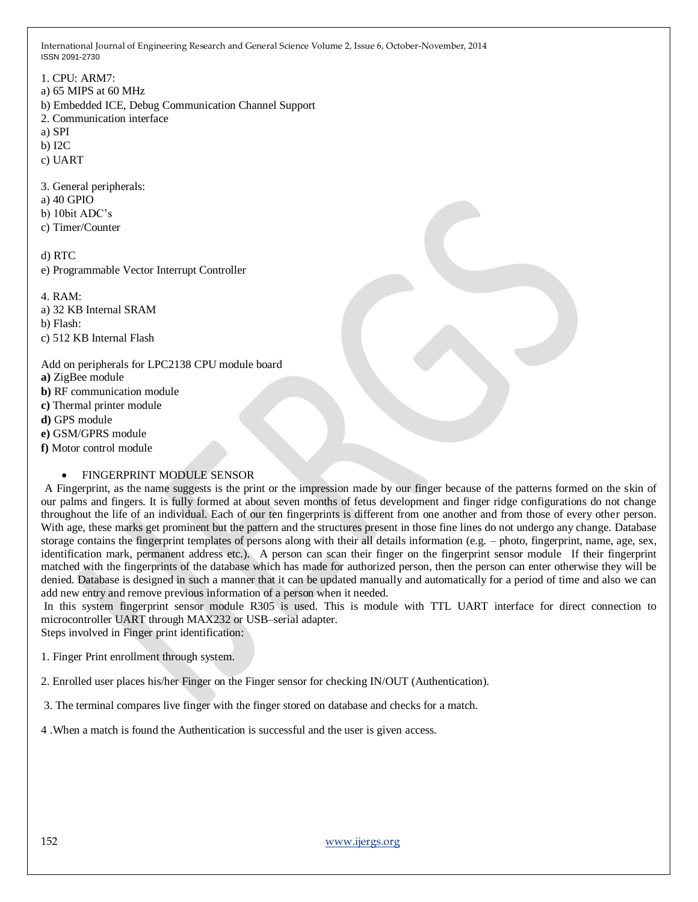1. CPU: ARM7: a) 65 MIPS at 60 MHz b) Embedded ICE, Debug Communication Channel Support 2. Communication interface a) SPI b) I2C c) UART 3. General peripherals: a) 40 GPIO b) 10bit ADC's c) Timer/Counter d) RTC e) Programmable Vector Interrupt Controller 4. RAM: a) 32 KB Internal SRAM b) Flash: c) 512 KB Internal Flash Add on peripherals for LPC2138 CPU module board **a)** ZigBee module **b)** RF communication module

**c)** Thermal printer module

**d)** GPS module

- **e)** GSM/GPRS module
- **f)** Motor control module

#### FINGERPRINT MODULE SENSOR

A Fingerprint, as the name suggests is the print or the impression made by our finger because of the patterns formed on the skin of our palms and fingers. It is fully formed at about seven months of fetus development and finger ridge configurations do not change throughout the life of an individual. Each of our ten fingerprints is different from one another and from those of every other person. With age, these marks get prominent but the pattern and the structures present in those fine lines do not undergo any change. Database storage contains the fingerprint templates of persons along with their all details information (e.g. – photo, fingerprint, name, age, sex, identification mark, permanent address etc.). A person can scan their finger on the fingerprint sensor module If their fingerprint matched with the fingerprints of the database which has made for authorized person, then the person can enter otherwise they will be denied. Database is designed in such a manner that it can be updated manually and automatically for a period of time and also we can add new entry and remove previous information of a person when it needed.

In this system fingerprint sensor module R305 is used. This is module with TTL UART interface for direct connection to microcontroller UART through MAX232 or USB–serial adapter.

Steps involved in Finger print identification:

1. Finger Print enrollment through system.

2. Enrolled user places his/her Finger on the Finger sensor for checking IN/OUT (Authentication).

3. The terminal compares live finger with the finger stored on database and checks for a match.

4 .When a match is found the Authentication is successful and the user is given access.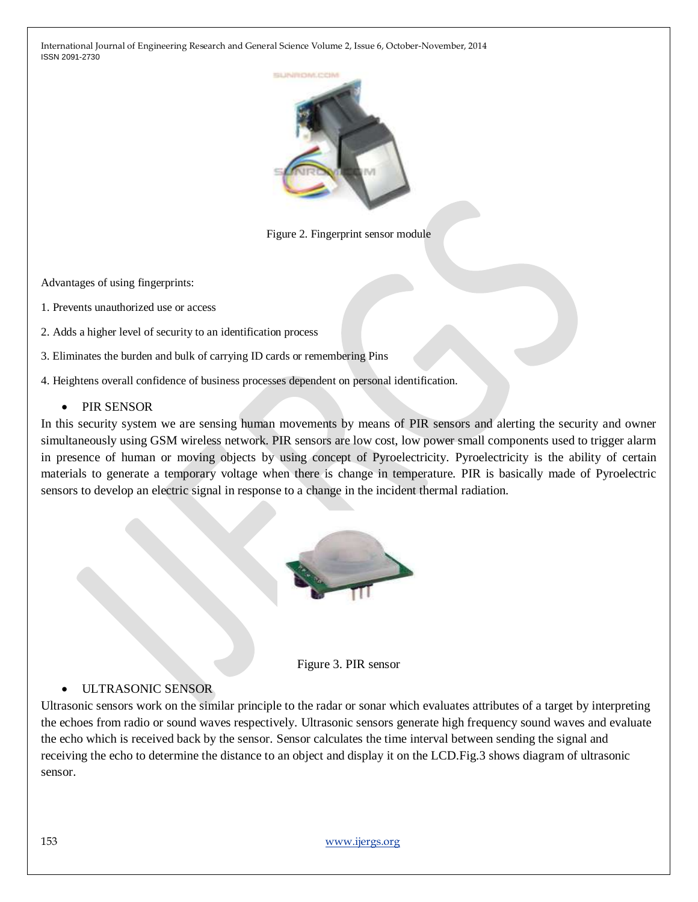

Figure 2. Fingerprint sensor module

Advantages of using fingerprints:

- 1. Prevents unauthorized use or access
- 2. Adds a higher level of security to an identification process
- 3. Eliminates the burden and bulk of carrying ID cards or remembering Pins
- 4. Heightens overall confidence of business processes dependent on personal identification.

### • PIR SENSOR

In this security system we are sensing human movements by means of PIR sensors and alerting the security and owner simultaneously using GSM wireless network. PIR sensors are low cost, low power small components used to trigger alarm in presence of human or moving objects by using concept of Pyroelectricity. Pyroelectricity is the ability of certain materials to generate a temporary voltage when there is change in temperature. PIR is basically made of Pyroelectric sensors to develop an electric signal in response to a change in the incident thermal radiation.





### ULTRASONIC SENSOR

Ultrasonic sensors work on the similar principle to the radar or sonar which evaluates attributes of a target by interpreting the echoes from radio or sound waves respectively. Ultrasonic sensors generate high frequency sound waves and evaluate the echo which is received back by the sensor. Sensor calculates the time interval between sending the signal and receiving the echo to determine the distance to an object and display it on the LCD.Fig.3 shows diagram of ultrasonic sensor.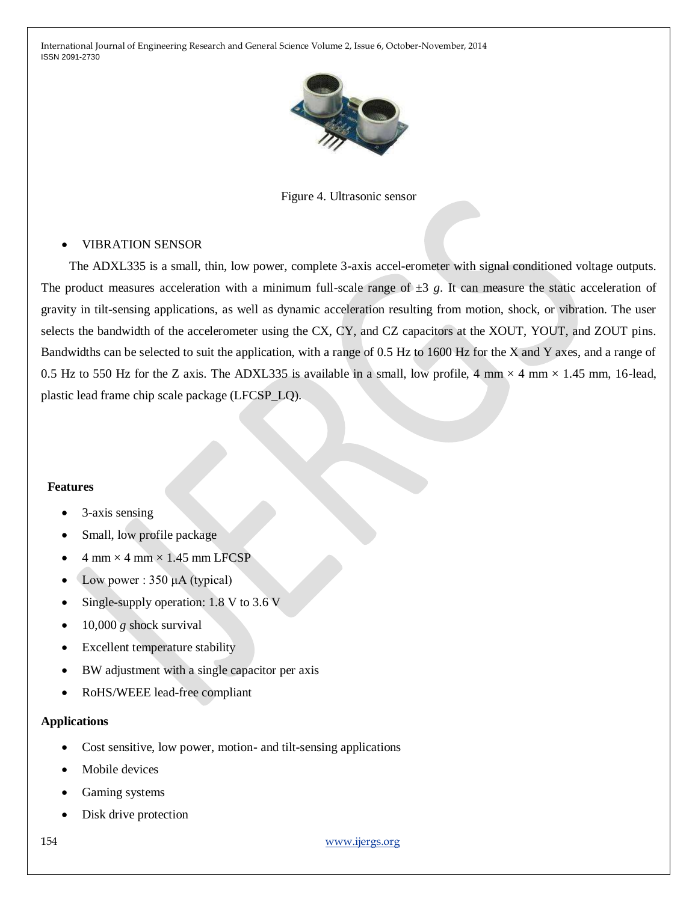

Figure 4. Ultrasonic sensor

### VIBRATION SENSOR

The ADXL335 is a small, thin, low power, complete 3-axis accel-erometer with signal conditioned voltage outputs. The product measures acceleration with a minimum full-scale range of  $\pm 3$  g. It can measure the static acceleration of gravity in tilt-sensing applications, as well as dynamic acceleration resulting from motion, shock, or vibration. The user selects the bandwidth of the accelerometer using the CX, CY, and CZ capacitors at the XOUT, YOUT, and ZOUT pins. Bandwidths can be selected to suit the application, with a range of 0.5 Hz to 1600 Hz for the X and Y axes, and a range of 0.5 Hz to 550 Hz for the Z axis. The ADXL335 is available in a small, low profile, 4 mm  $\times$  4 mm  $\times$  1.45 mm, 16-lead, plastic lead frame chip scale package (LFCSP\_LQ).

#### **Features**

- 3-axis sensing
- Small, low profile package
- $4$  mm  $\times$  4 mm  $\times$  1.45 mm LFCSP
- Low power : 350 μA (typical)
- Single-supply operation: 1.8 V to 3.6 V
- 10,000 *g* shock survival
- Excellent temperature stability
- BW adjustment with a single capacitor per axis
- RoHS/WEEE lead-free compliant

#### **Applications**

- Cost sensitive, low power, motion- and tilt-sensing applications
- Mobile devices
- Gaming systems
- Disk drive protection

154 [www.ijergs.org](http://www.ijergs.org/)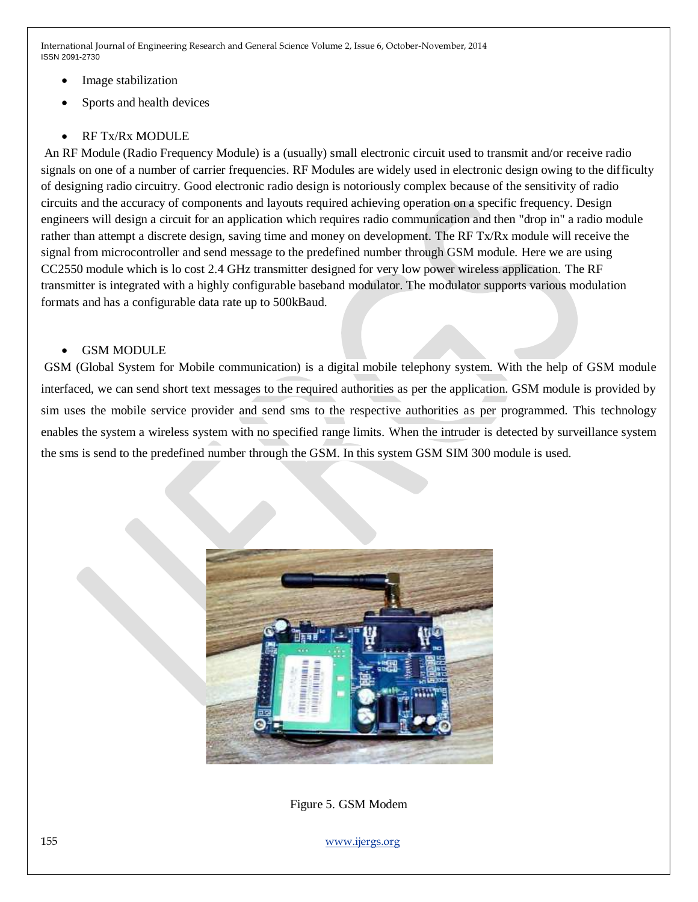- Image stabilization
- Sports and health devices
- RF Tx/Rx MODULE

An RF Module (Radio Frequency Module) is a (usually) small electronic circuit used to transmit and/or receive radio signals on one of a number of carrier frequencies. RF Modules are widely used in electronic design owing to the difficulty of designing radio circuitry. Good electronic radio design is notoriously complex because of the sensitivity of radio circuits and the accuracy of components and layouts required achieving operation on a specific frequency. Design engineers will design a circuit for an application which requires radio communication and then "drop in" a radio module rather than attempt a discrete design, saving time and money on development. The RF Tx/Rx module will receive the signal from microcontroller and send message to the predefined number through GSM module. Here we are using CC2550 module which is lo cost 2.4 GHz transmitter designed for very low power wireless application. The RF transmitter is integrated with a highly configurable baseband modulator. The modulator supports various modulation formats and has a configurable data rate up to 500kBaud.

## GSM MODULE

GSM (Global System for Mobile communication) is a digital mobile telephony system. With the help of GSM module interfaced, we can send short text messages to the required authorities as per the application. GSM module is provided by sim uses the mobile service provider and send sms to the respective authorities as per programmed. This technology enables the system a wireless system with no specified range limits. When the intruder is detected by surveillance system the sms is send to the predefined number through the GSM. In this system GSM SIM 300 module is used.



Figure 5. GSM Modem

155 [www.ijergs.org](http://www.ijergs.org/)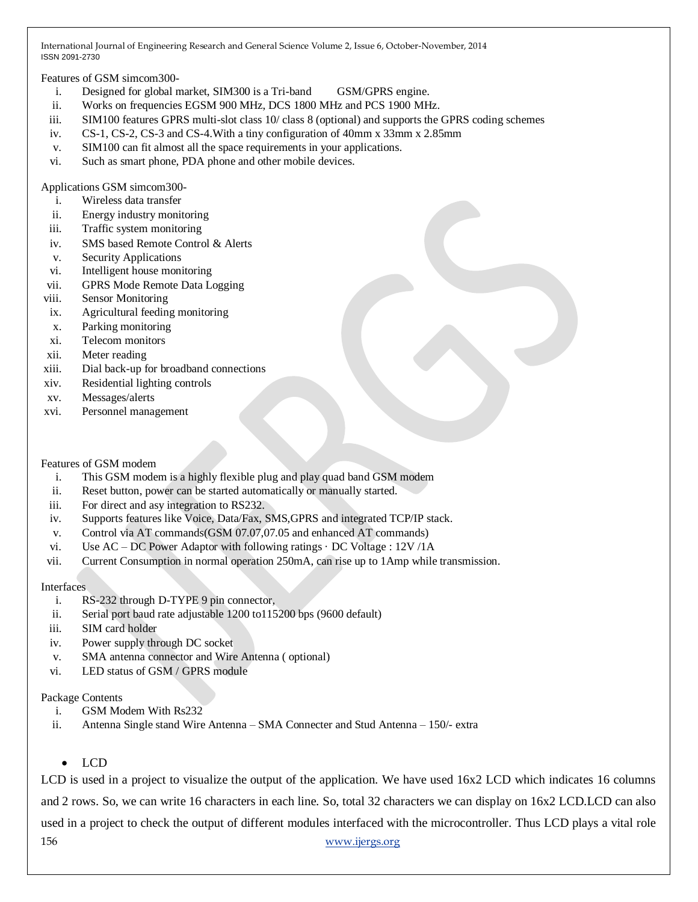Features of GSM simcom300-

- i. Designed for global market, SIM300 is a Tri-band GSM/GPRS engine.
- ii. Works on frequencies EGSM 900 MHz, DCS 1800 MHz and PCS 1900 MHz.
- iii. SIM100 features GPRS multi-slot class 10/ class 8 (optional) and supports the GPRS coding schemes
- iv. CS-1, CS-2, CS-3 and CS-4.With a tiny configuration of 40mm x 33mm x 2.85mm
- v. SIM100 can fit almost all the space requirements in your applications.
- vi. Such as smart phone, PDA phone and other mobile devices.

Applications GSM simcom300-

- i. Wireless data transfer
- ii. Energy industry monitoring
- iii. Traffic system monitoring
- iv. SMS based Remote Control & Alerts
- v. Security Applications
- vi. Intelligent house monitoring
- vii. GPRS Mode Remote Data Logging
- viii. Sensor Monitoring
- ix. Agricultural feeding monitoring
- x. Parking monitoring
- xi. Telecom monitors
- xii. Meter reading
- xiii. Dial back-up for broadband connections
- xiv. Residential lighting controls
- xv. Messages/alerts
- xvi. Personnel management

#### Features of GSM modem

- i. This GSM modem is a highly flexible plug and play quad band GSM modem
- ii. Reset button, power can be started automatically or manually started.
- iii. For direct and asy integration to RS232.
- iv. Supports features like Voice, Data/Fax, SMS,GPRS and integrated TCP/IP stack.
- v. Control via AT commands(GSM 07.07,07.05 and enhanced AT commands)
- vi. Use  $AC DC$  Power Adaptor with following ratings  $\cdot$  DC Voltage : 12V/1A
- vii. Current Consumption in normal operation 250mA, can rise up to 1Amp while transmission.

#### **Interfaces**

- i. RS-232 through D-TYPE 9 pin connector,
- ii. Serial port baud rate adjustable 1200 to115200 bps (9600 default)
- iii. SIM card holder
- iv. Power supply through DC socket
- v. SMA antenna connector and Wire Antenna ( optional)
- vi. LED status of GSM / GPRS module

### Package Contents

- i. GSM Modem With Rs232
- ii. Antenna Single stand Wire Antenna SMA Connecter and Stud Antenna 150/- extra
	- LCD

156 [www.ijergs.org](http://www.ijergs.org/) LCD is used in a project to visualize the output of the application. We have used  $16x2$  LCD which indicates 16 columns and 2 rows. So, we can write 16 characters in each line. So, total 32 characters we can display on 16x2 LCD.LCD can also used in a project to check the output of different modules interfaced with the microcontroller. Thus LCD plays a vital role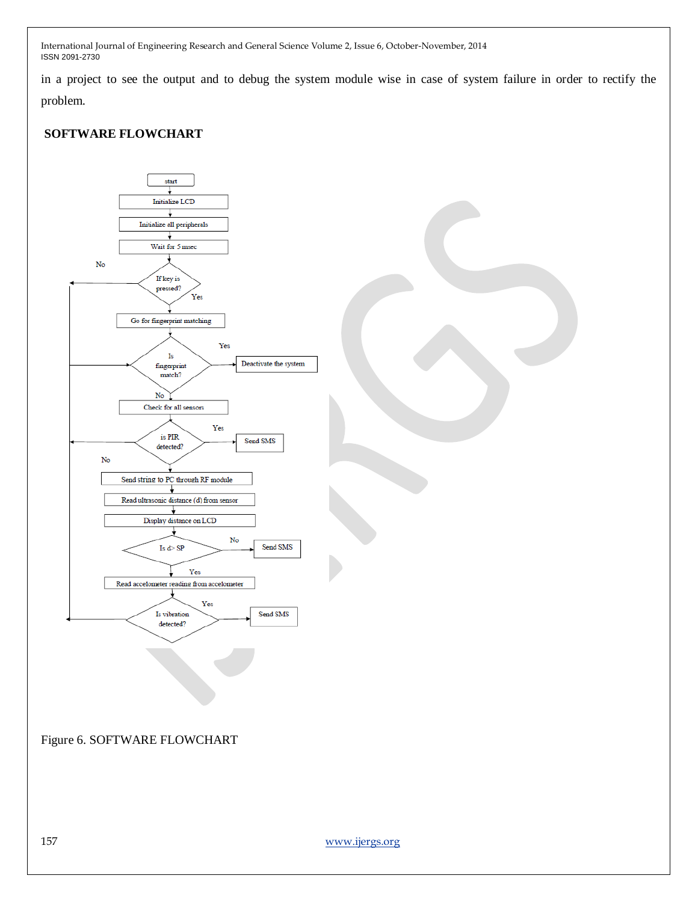in a project to see the output and to debug the system module wise in case of system failure in order to rectify the problem.

## **SOFTWARE FLOWCHART**

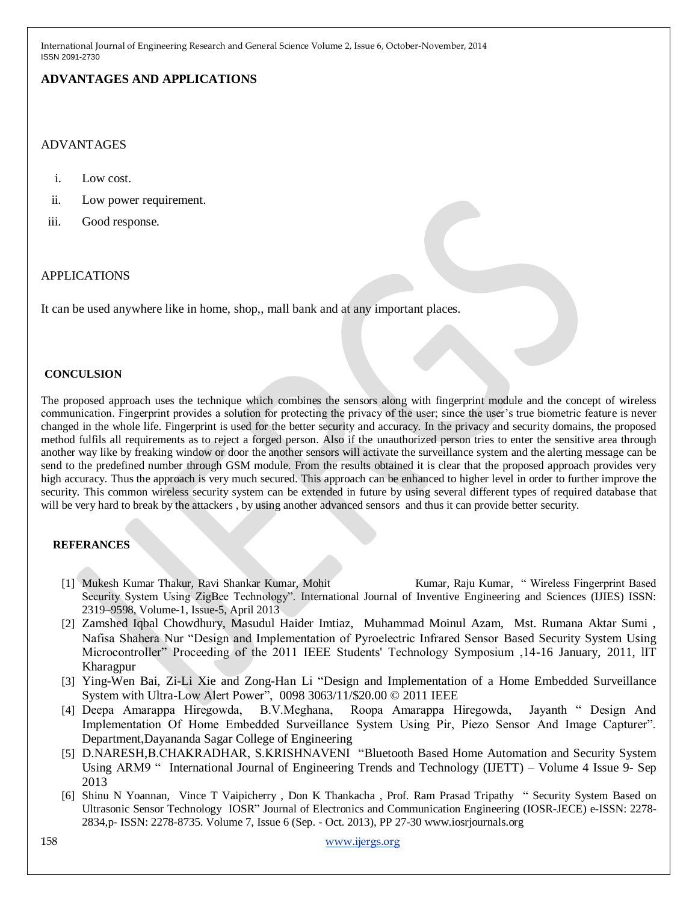## **ADVANTAGES AND APPLICATIONS**

## ADVANTAGES

- i. Low cost.
- ii. Low power requirement.
- iii. Good response.

### APPLICATIONS

It can be used anywhere like in home, shop,, mall bank and at any important places.

#### **CONCULSION**

The proposed approach uses the technique which combines the sensors along with fingerprint module and the concept of wireless communication. Fingerprint provides a solution for protecting the privacy of the user; since the user's true biometric feature is never changed in the whole life. Fingerprint is used for the better security and accuracy. In the privacy and security domains, the proposed method fulfils all requirements as to reject a forged person. Also if the unauthorized person tries to enter the sensitive area through another way like by freaking window or door the another sensors will activate the surveillance system and the alerting message can be send to the predefined number through GSM module. From the results obtained it is clear that the proposed approach provides very high accuracy. Thus the approach is very much secured. This approach can be enhanced to higher level in order to further improve the security. This common wireless security system can be extended in future by using several different types of required database that will be very hard to break by the attackers , by using another advanced sensors and thus it can provide better security.

### **REFERANCES**

- [1] Mukesh Kumar Thakur, Ravi Shankar Kumar, Mohit Kumar, Raju Kumar, " Wireless Fingerprint Based Security System Using ZigBee Technology". International Journal of Inventive Engineering and Sciences (IJIES) ISSN: 2319–9598, Volume-1, Issue-5, April 2013
- [2] Zamshed Iqbal Chowdhury, Masudul Haider Imtiaz, Muhammad Moinul Azam, Mst. Rumana Aktar Sumi , Nafisa Shahera Nur "Design and Implementation of Pyroelectric Infrared Sensor Based Security System Using Microcontroller" Proceeding of the 2011 IEEE Students' Technology Symposium ,14-16 January, 2011, lIT Kharagpur
- [3] Ying-Wen Bai, Zi-Li Xie and Zong-Han Li "Design and Implementation of a Home Embedded Surveillance System with Ultra-Low Alert Power", 0098 3063/11/\$20.00 © 2011 IEEE
- [4] Deepa Amarappa Hiregowda, B.V.Meghana, Roopa Amarappa Hiregowda, Jayanth " Design And Implementation Of Home Embedded Surveillance System Using Pir, Piezo Sensor And Image Capturer". Department,Dayananda Sagar College of Engineering
- [5] D.NARESH,B.CHAKRADHAR, S.KRISHNAVENI "Bluetooth Based Home Automation and Security System Using ARM9 " International Journal of Engineering Trends and Technology (IJETT) – Volume 4 Issue 9- Sep 2013
- [6] Shinu N Yoannan, Vince T Vaipicherry , Don K Thankacha , Prof. Ram Prasad Tripathy " Security System Based on Ultrasonic Sensor Technology IOSR" Journal of Electronics and Communication Engineering (IOSR-JECE) e-ISSN: 2278- 2834,p- ISSN: 2278-8735. Volume 7, Issue 6 (Sep. - Oct. 2013), PP 27-30 www.iosrjournals.org